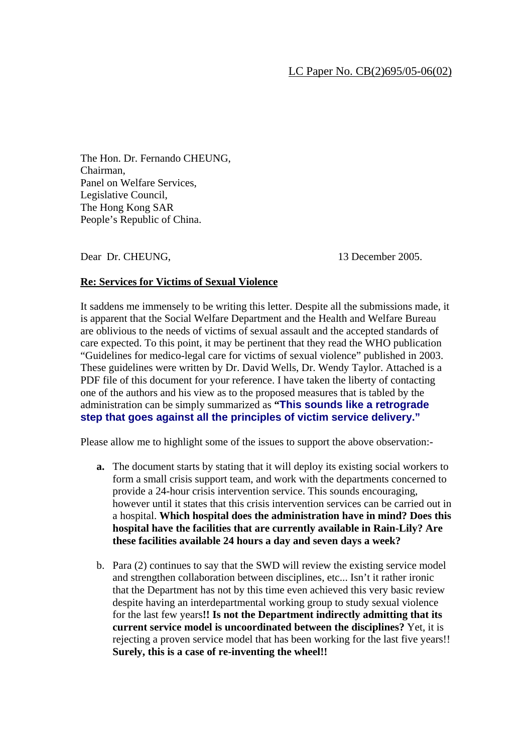The Hon. Dr. Fernando CHEUNG, Chairman, Panel on Welfare Services, Legislative Council, The Hong Kong SAR People's Republic of China.

Dear Dr. CHEUNG, 13 December 2005.

# **Re: Services for Victims of Sexual Violence**

It saddens me immensely to be writing this letter. Despite all the submissions made, it is apparent that the Social Welfare Department and the Health and Welfare Bureau are oblivious to the needs of victims of sexual assault and the accepted standards of care expected. To this point, it may be pertinent that they read the WHO publication "Guidelines for medico-legal care for victims of sexual violence" published in 2003. These guidelines were written by Dr. David Wells, Dr. Wendy Taylor. Attached is a PDF file of this document for your reference. I have taken the liberty of contacting one of the authors and his view as to the proposed measures that is tabled by the administration can be simply summarized as **"This sounds like a retrograde step that goes against all the principles of victim service delivery."** 

Please allow me to highlight some of the issues to support the above observation:-

- **a.** The document starts by stating that it will deploy its existing social workers to form a small crisis support team, and work with the departments concerned to provide a 24-hour crisis intervention service. This sounds encouraging, however until it states that this crisis intervention services can be carried out in a hospital. **Which hospital does the administration have in mind? Does this hospital have the facilities that are currently available in Rain-Lily? Are these facilities available 24 hours a day and seven days a week?**
- b. Para (2) continues to say that the SWD will review the existing service model and strengthen collaboration between disciplines, etc... Isn't it rather ironic that the Department has not by this time even achieved this very basic review despite having an interdepartmental working group to study sexual violence for the last few years**!! Is not the Department indirectly admitting that its current service model is uncoordinated between the disciplines?** Yet, it is rejecting a proven service model that has been working for the last five years!! **Surely, this is a case of re-inventing the wheel!!**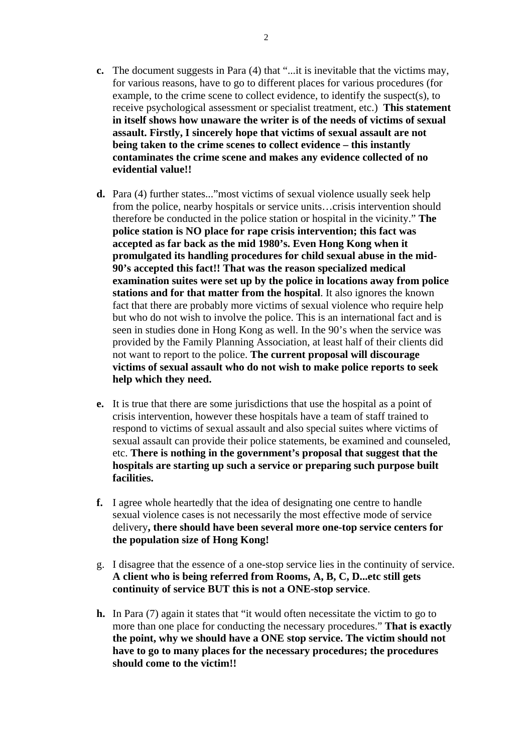- **c.** The document suggests in Para (4) that "...it is inevitable that the victims may, for various reasons, have to go to different places for various procedures (for example, to the crime scene to collect evidence, to identify the suspect(s), to receive psychological assessment or specialist treatment, etc.) **This statement in itself shows how unaware the writer is of the needs of victims of sexual assault. Firstly, I sincerely hope that victims of sexual assault are not being taken to the crime scenes to collect evidence – this instantly contaminates the crime scene and makes any evidence collected of no evidential value!!**
- **d.** Para (4) further states..."most victims of sexual violence usually seek help from the police, nearby hospitals or service units…crisis intervention should therefore be conducted in the police station or hospital in the vicinity." **The police station is NO place for rape crisis intervention; this fact was accepted as far back as the mid 1980's. Even Hong Kong when it promulgated its handling procedures for child sexual abuse in the mid-90's accepted this fact!! That was the reason specialized medical examination suites were set up by the police in locations away from police stations and for that matter from the hospital**. It also ignores the known fact that there are probably more victims of sexual violence who require help but who do not wish to involve the police. This is an international fact and is seen in studies done in Hong Kong as well. In the 90's when the service was provided by the Family Planning Association, at least half of their clients did not want to report to the police. **The current proposal will discourage victims of sexual assault who do not wish to make police reports to seek help which they need.**
- **e.** It is true that there are some jurisdictions that use the hospital as a point of crisis intervention, however these hospitals have a team of staff trained to respond to victims of sexual assault and also special suites where victims of sexual assault can provide their police statements, be examined and counseled, etc. **There is nothing in the government's proposal that suggest that the hospitals are starting up such a service or preparing such purpose built facilities.**
- **f.** I agree whole heartedly that the idea of designating one centre to handle sexual violence cases is not necessarily the most effective mode of service delivery**, there should have been several more one-top service centers for the population size of Hong Kong!**
- g. I disagree that the essence of a one-stop service lies in the continuity of service. **A client who is being referred from Rooms, A, B, C, D...etc still gets continuity of service BUT this is not a ONE-stop service**.
- **h.** In Para (7) again it states that "it would often necessitate the victim to go to more than one place for conducting the necessary procedures." **That is exactly the point, why we should have a ONE stop service. The victim should not have to go to many places for the necessary procedures; the procedures should come to the victim!!**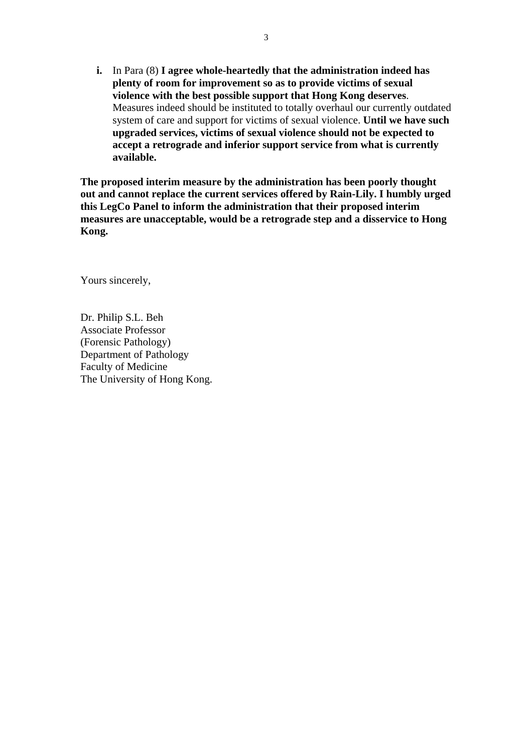**i.** In Para (8) **I agree whole-heartedly that the administration indeed has plenty of room for improvement so as to provide victims of sexual violence with the best possible support that Hong Kong deserves**. Measures indeed should be instituted to totally overhaul our currently outdated system of care and support for victims of sexual violence. **Until we have such upgraded services, victims of sexual violence should not be expected to accept a retrograde and inferior support service from what is currently available.** 

**The proposed interim measure by the administration has been poorly thought out and cannot replace the current services offered by Rain-Lily. I humbly urged this LegCo Panel to inform the administration that their proposed interim measures are unacceptable, would be a retrograde step and a disservice to Hong Kong.** 

Yours sincerely,

Dr. Philip S.L. Beh Associate Professor (Forensic Pathology) Department of Pathology Faculty of Medicine The University of Hong Kong.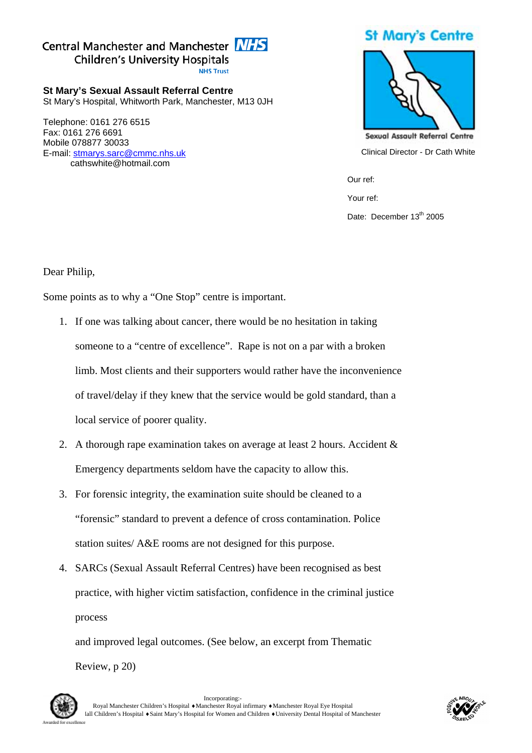# Central Manchester and Manchester **NHS Children's University Hospitals NHS Trust**

**St Mary's Sexual Assault Referral Centre**  St Mary's Hospital, Whitworth Park, Manchester, M13 0JH

Telephone: 0161 276 6515 Fax: 0161 276 6691 Mobile 078877 30033 E-mail: stmarys.sarc@cmmc.nhs.uk cathswhite@hotmail.com

# **St Mary's Centre**



Clinical Director - Dr Cath White

Our ref:

Your ref:

Date: December 13<sup>th</sup> 2005

Dear Philip,

Some points as to why a "One Stop" centre is important.

- 1. If one was talking about cancer, there would be no hesitation in taking someone to a "centre of excellence". Rape is not on a par with a broken limb. Most clients and their supporters would rather have the inconvenience of travel/delay if they knew that the service would be gold standard, than a local service of poorer quality.
- 2. A thorough rape examination takes on average at least 2 hours. Accident & Emergency departments seldom have the capacity to allow this.
- 3. For forensic integrity, the examination suite should be cleaned to a "forensic" standard to prevent a defence of cross contamination. Police station suites/ A&E rooms are not designed for this purpose.
- 4. SARCs (Sexual Assault Referral Centres) have been recognised as best practice, with higher victim satisfaction, confidence in the criminal justice process

and improved legal outcomes. (See below, an excerpt from Thematic Review, p 20)



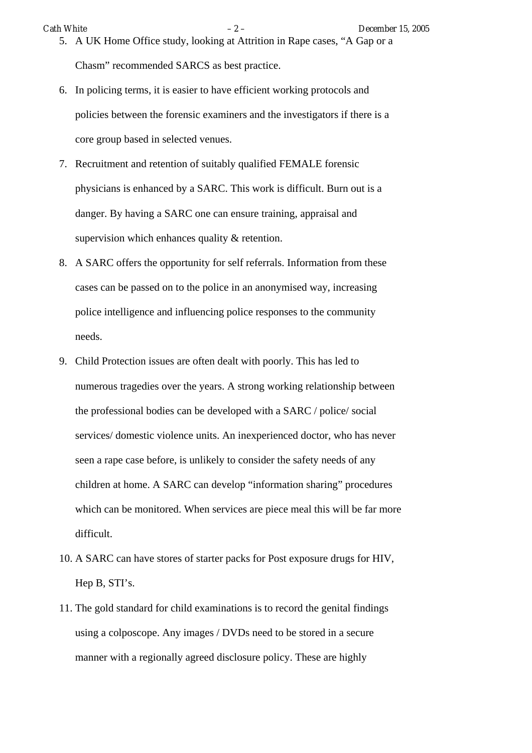Chasm" recommended SARCS as best practice.

- 6. In policing terms, it is easier to have efficient working protocols and policies between the forensic examiners and the investigators if there is a core group based in selected venues.
- 7. Recruitment and retention of suitably qualified FEMALE forensic physicians is enhanced by a SARC. This work is difficult. Burn out is a danger. By having a SARC one can ensure training, appraisal and supervision which enhances quality & retention.
- 8. A SARC offers the opportunity for self referrals. Information from these cases can be passed on to the police in an anonymised way, increasing police intelligence and influencing police responses to the community needs.
- 9. Child Protection issues are often dealt with poorly. This has led to numerous tragedies over the years. A strong working relationship between the professional bodies can be developed with a SARC / police/ social services/ domestic violence units. An inexperienced doctor, who has never seen a rape case before, is unlikely to consider the safety needs of any children at home. A SARC can develop "information sharing" procedures which can be monitored. When services are piece meal this will be far more difficult.
- 10. A SARC can have stores of starter packs for Post exposure drugs for HIV, Hep B, STI's.
- 11. The gold standard for child examinations is to record the genital findings using a colposcope. Any images / DVDs need to be stored in a secure manner with a regionally agreed disclosure policy. These are highly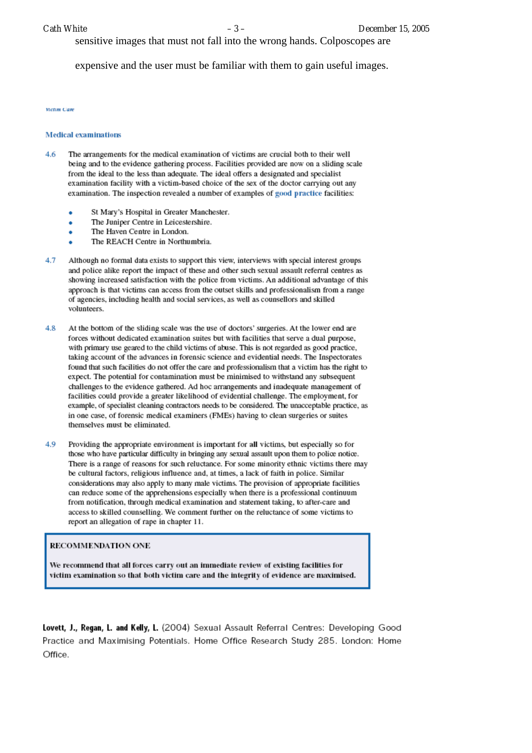sensitive images that must not fall into the wrong hands. Colposcopes are

expensive and the user must be familiar with them to gain useful images.

#### **Modern Corp.**

#### **Medical evaminations**

- The arrangements for the medical examination of victims are crucial both to their well  $46$ being and to the evidence gathering process. Facilities provided are now on a sliding scale from the ideal to the less than adequate. The ideal offers a designated and specialist examination facility with a victim-based choice of the sex of the doctor carrying out any examination. The inspection revealed a number of examples of good practice facilities:
	- St Mary's Hospital in Greater Manchester.
	- The Juniper Centre in Leicestershire.
	- The Haven Centre in London.
	- The REACH Centre in Northumbria.
- 4.7 Although no formal data exists to support this view, interviews with special interest groups and police alike report the impact of these and other such sexual assault referral centres as showing increased satisfaction with the police from victims. An additional advantage of this approach is that victims can access from the outset skills and professionalism from a range of agencies, including health and social services, as well as counsellors and skilled volunteers.
- 4.8 At the bottom of the sliding scale was the use of doctors' surgeries. At the lower end are forces without dedicated examination suites but with facilities that serve a dual purpose, with primary use geared to the child victims of abuse. This is not regarded as good practice, taking account of the advances in forensic science and evidential needs. The Inspectorates found that such facilities do not offer the care and professionalism that a victim has the right to expect. The potential for contamination must be minimised to withstand any subsequent challenges to the evidence gathered. Ad hoc arrangements and inadequate management of facilities could provide a greater likelihood of evidential challenge. The employment, for example, of specialist cleaning contractors needs to be considered. The unacceptable practice, as in one case, of forensic medical examiners (FMEs) having to clean surgeries or suites themselves must be eliminated.
- 4.9 Providing the appropriate environment is important for all victims, but especially so for those who have particular difficulty in bringing any sexual assault upon them to police notice. There is a range of reasons for such reluctance. For some minority ethnic victims there may be cultural factors, religious influence and, at times, a lack of faith in police. Similar considerations may also apply to many male victims. The provision of appropriate facilities can reduce some of the apprehensions especially when there is a professional continuum from notification, through medical examination and statement taking, to after-care and access to skilled counselling. We comment further on the reluctance of some victims to report an allegation of rape in chapter 11.

#### **RECOMMENDATION ONE**

We recommend that all forces carry out an immediate review of existing facilities for victim examination so that both victim care and the integrity of evidence are maximised.

Lovett, J., Regan, L. and Kelly, L. (2004) Sexual Assault Referral Centres: Developing Good Practice and Maximising Potentials. Home Office Research Study 285. London: Home Office.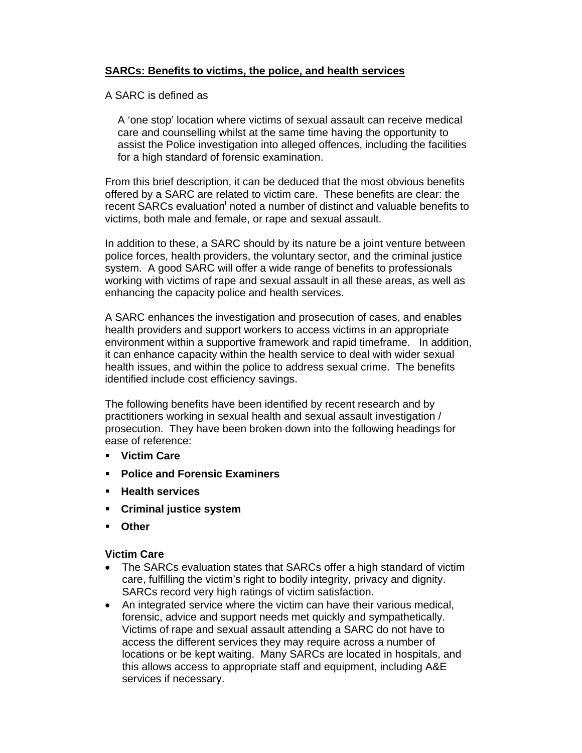# **SARCs: Benefits to victims, the police, and health services**

### A SARC is defined as

A 'one stop' location where victims of sexual assault can receive medical care and counselling whilst at the same time having the opportunity to assist the Police investigation into alleged offences, including the facilities for a high standard of forensic examination.

From this brief description, it can be deduced that the most obvious benefits offered by a SARC are related to victim care. These benefits are clear: the recent SARCs evaluation<sup>i</sup> noted a number of distinct and valuable benefits to victims, both male and female, or rape and sexual assault.

In addition to these, a SARC should by its nature be a joint venture between police forces, health providers, the voluntary sector, and the criminal justice system. A good SARC will offer a wide range of benefits to professionals working with victims of rape and sexual assault in all these areas, as well as enhancing the capacity police and health services.

A SARC enhances the investigation and prosecution of cases, and enables health providers and support workers to access victims in an appropriate environment within a supportive framework and rapid timeframe. In addition, it can enhance capacity within the health service to deal with wider sexual health issues, and within the police to address sexual crime. The benefits identified include cost efficiency savings.

The following benefits have been identified by recent research and by practitioners working in sexual health and sexual assault investigation / prosecution. They have been broken down into the following headings for ease of reference:

- **Victim Care**
- **Police and Forensic Examiners**
- **Health services**
- **Criminal justice system**
- **Other**

### **Victim Care**

- The SARCs evaluation states that SARCs offer a high standard of victim care, fulfilling the victim's right to bodily integrity, privacy and dignity. SARCs record very high ratings of victim satisfaction.
- An integrated service where the victim can have their various medical, forensic, advice and support needs met quickly and sympathetically. Victims of rape and sexual assault attending a SARC do not have to access the different services they may require across a number of locations or be kept waiting. Many SARCs are located in hospitals, and this allows access to appropriate staff and equipment, including A&E services if necessary.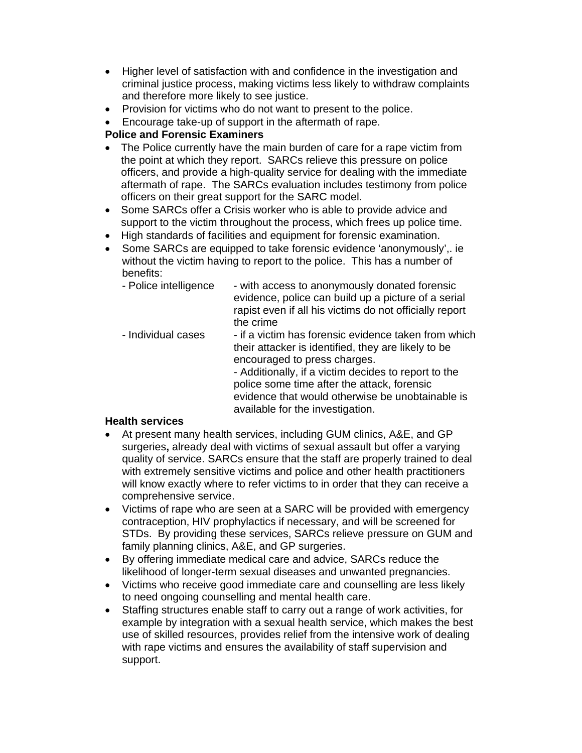- Higher level of satisfaction with and confidence in the investigation and criminal justice process, making victims less likely to withdraw complaints and therefore more likely to see justice.
- Provision for victims who do not want to present to the police.
- Encourage take-up of support in the aftermath of rape.

# **Police and Forensic Examiners**

- The Police currently have the main burden of care for a rape victim from the point at which they report. SARCs relieve this pressure on police officers, and provide a high-quality service for dealing with the immediate aftermath of rape. The SARCs evaluation includes testimony from police officers on their great support for the SARC model.
- Some SARCs offer a Crisis worker who is able to provide advice and support to the victim throughout the process, which frees up police time.
- High standards of facilities and equipment for forensic examination.
- Some SARCs are equipped to take forensic evidence 'anonymously',. ie without the victim having to report to the police. This has a number of benefits:
	- Police intelligence with access to anonymously donated forensic evidence, police can build up a picture of a serial rapist even if all his victims do not officially report the crime
	- Individual cases if a victim has forensic evidence taken from which their attacker is identified, they are likely to be encouraged to press charges.

- Additionally, if a victim decides to report to the police some time after the attack, forensic evidence that would otherwise be unobtainable is available for the investigation.

# **Health services**

- At present many health services, including GUM clinics, A&E, and GP surgeries**,** already deal with victims of sexual assault but offer a varying quality of service. SARCs ensure that the staff are properly trained to deal with extremely sensitive victims and police and other health practitioners will know exactly where to refer victims to in order that they can receive a comprehensive service.
- Victims of rape who are seen at a SARC will be provided with emergency contraception, HIV prophylactics if necessary, and will be screened for STDs. By providing these services, SARCs relieve pressure on GUM and family planning clinics, A&E, and GP surgeries.
- By offering immediate medical care and advice, SARCs reduce the likelihood of longer-term sexual diseases and unwanted pregnancies.
- Victims who receive good immediate care and counselling are less likely to need ongoing counselling and mental health care.
- Staffing structures enable staff to carry out a range of work activities, for example by integration with a sexual health service, which makes the best use of skilled resources, provides relief from the intensive work of dealing with rape victims and ensures the availability of staff supervision and support.